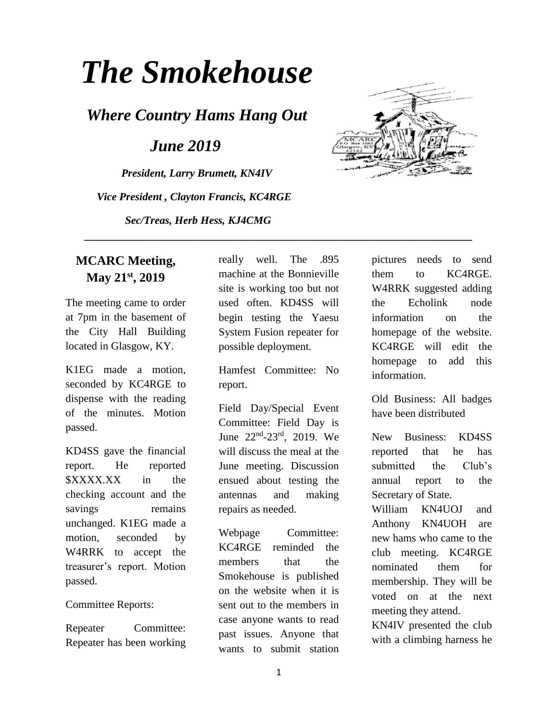# *The Smokehouse*

*Where Country Hams Hang Out*

 *June 2019*

*President, Larry Brumett, KN4IV Vice President , Clayton Francis, KC4RGE Sec/Treas, Herb Hess, KJ4CMG*



#### **MCARC Meeting, May 21st, 2019**

The meeting came to order at 7pm in the basement of the City Hall Building located in Glasgow, KY.

K1EG made a motion, seconded by KC4RGE to dispense with the reading of the minutes. Motion passed.

KD4SS gave the financial report. He reported \$XXXX.XX in the checking account and the savings remains unchanged. K1EG made a motion, seconded by W4RRK to accept the treasurer's report. Motion passed.

Committee Reports:

Repeater Committee: Repeater has been working really well. The .895 machine at the Bonnieville site is working too but not used often. KD4SS will begin testing the Yaesu System Fusion repeater for possible deployment.

 **\_\_\_\_\_\_\_\_\_\_\_\_\_\_\_\_\_\_\_\_\_\_\_\_\_\_\_\_\_\_\_\_\_\_\_\_\_\_\_\_\_\_\_\_\_\_\_\_\_\_\_\_\_\_\_\_\_\_\_\_\_\_\_\_\_\_\_\_\_\_\_**

Hamfest Committee: No report.

Field Day/Special Event Committee: Field Day is June 22<sup>nd</sup>-23<sup>rd</sup>, 2019. We will discuss the meal at the June meeting. Discussion ensued about testing the antennas and making repairs as needed.

Webpage Committee: KC4RGE reminded the members that the Smokehouse is published on the website when it is sent out to the members in case anyone wants to read past issues. Anyone that wants to submit station pictures needs to send them to KC4RGE. W4RRK suggested adding the Echolink node information on the homepage of the website. KC4RGE will edit the homepage to add this information.

Old Business: All badges have been distributed

New Business: KD4SS reported that he has submitted the Club's annual report to the Secretary of State.

William KN4UOJ and Anthony KN4UOH are new hams who came to the club meeting. KC4RGE nominated them for membership. They will be voted on at the next meeting they attend.

KN4IV presented the club with a climbing harness he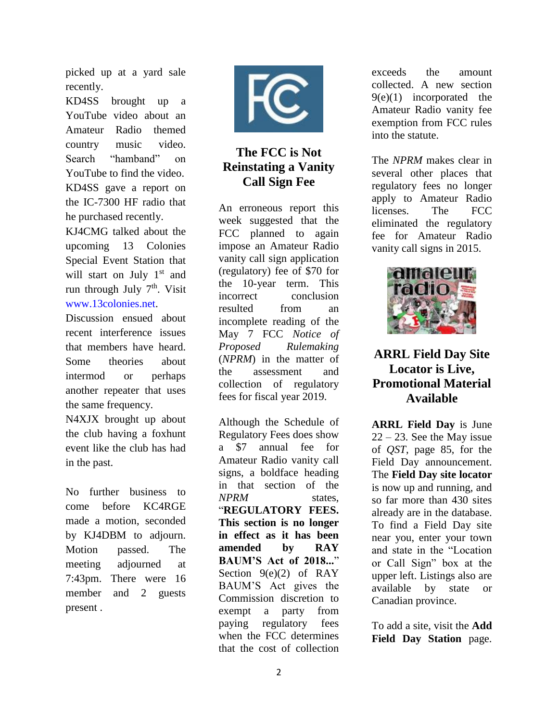picked up at a yard sale recently.

KD4SS brought up a YouTube video about an Amateur Radio themed country music video. Search "hamband" on YouTube to find the video. KD4SS gave a report on the IC-7300 HF radio that he purchased recently.

KJ4CMG talked about the upcoming 13 Colonies Special Event Station that will start on July 1<sup>st</sup> and run through July  $7<sup>th</sup>$ . Visit [www.13colonies.net.](http://www.13colonies.net/)

Discussion ensued about recent interference issues that members have heard. Some theories about intermod or perhaps another repeater that uses the same frequency.

N4XJX brought up about the club having a foxhunt event like the club has had in the past.

No further business to come before KC4RGE made a motion, seconded by KJ4DBM to adjourn. Motion passed. The meeting adjourned at 7:43pm. There were 16 member and 2 guests present .



## **The FCC is Not Reinstating a Vanity Call Sign Fee**

An erroneous report this week suggested that the FCC planned to again impose an Amateur Radio vanity call sign application (regulatory) fee of \$70 for the 10-year term. This incorrect conclusion resulted from an incomplete reading of the May 7 FCC *Notice of Proposed Rulemaking* (*NPRM*) in the matter of the assessment and collection of regulatory fees for fiscal year 2019.

Although the Schedule of Regulatory Fees does show a \$7 annual fee for Amateur Radio vanity call signs, a boldface heading in that section of the *NPRM* states, "**REGULATORY FEES. This section is no longer in effect as it has been amended by RAY BAUM'S Act of 2018...**" Section 9(e)(2) of RAY BAUM'S Act gives the Commission discretion to exempt a party from paying regulatory fees when the FCC determines that the cost of collection

exceeds the amount collected. A new section  $9(e)(1)$  incorporated the Amateur Radio vanity fee exemption from FCC rules into the statute.

The *NPRM* makes clear in several other places that regulatory fees no longer apply to Amateur Radio licenses. The FCC eliminated the regulatory fee for Amateur Radio vanity call signs in 2015.



## **ARRL Field Day Site Locator is Live, Promotional Material Available**

**[ARRL Field Day](http://www.arrl.org/field-day)** is June  $22 - 23$ . See the May issue of *QST*, page 85, for the Field Day announcement. The **[Field Day site locator](http://www.arrl.org/field-day-locator)** is now up and running, and so far more than 430 sites already are in the database. To find a Field Day site near you, enter your town and state in the "Location or Call Sign" box at the upper left. Listings also are available by state or Canadian province.

To add a site, visit the **[Add](http://www.arrl.org/field_days/add)  [Field Day Station](http://www.arrl.org/field_days/add)** page.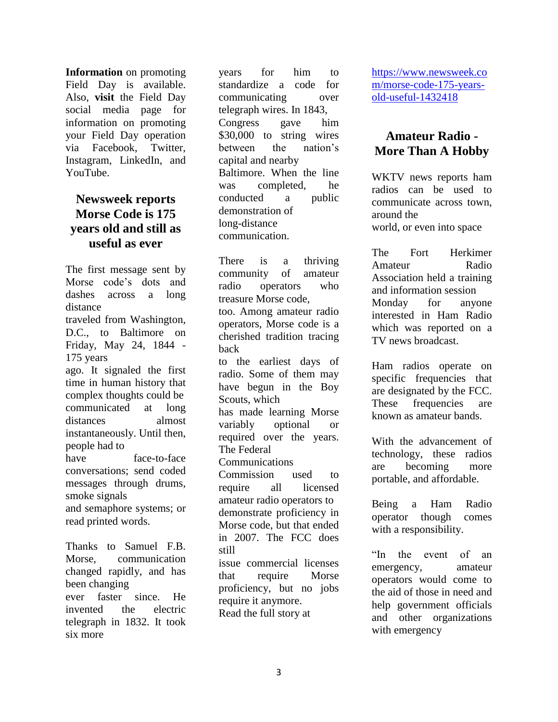**[Information](http://www.arrl.org/files/file/Field-Day/2018/201820Field20PR%20Kit.pdf)** on promoting Field Day is available. Also, **[visit](http://www.facebook.com/groups/fd2018/)** the Field Day social media page for information on promoting your Field Day operation via Facebook, Twitter, Instagram, LinkedIn, and YouTube.

#### **Newsweek reports Morse Code is 175 years old and still as useful as ever**

The first message sent by Morse code's dots and dashes across a long distance traveled from Washington, D.C., to Baltimore on Friday, May 24, 1844 - 175 years ago. It signaled the first time in human history that complex thoughts could be communicated at long distances almost instantaneously. Until then, people had to have face-to-face conversations; send coded messages through drums, smoke signals and semaphore systems; or read printed words.

Thanks to Samuel F.B. Morse, communication changed rapidly, and has been changing ever faster since. He invented the electric telegraph in 1832. It took six more

years for him to standardize a code for communicating over telegraph wires. In 1843, Congress gave him \$30,000 to string wires between the nation's capital and nearby Baltimore. When the line was completed, he conducted a public demonstration of long-distance communication.

There is a thriving community of amateur radio operators who treasure Morse code, too. Among amateur radio operators, Morse code is a cherished tradition tracing back to the earliest days of radio. Some of them may have begun in the Boy Scouts, which has made learning Morse variably optional or required over the years. The Federal Communications Commission used to require all licensed amateur radio operators to demonstrate proficiency in Morse code, but that ended in 2007. The FCC does still issue commercial licenses that require Morse proficiency, but no jobs require it anymore. Read the full story at

[https://www.newsweek.co](https://www.newsweek.com/morse-code-175-years-old-useful-1432418) [m/morse-code-175-years](https://www.newsweek.com/morse-code-175-years-old-useful-1432418)[old-useful-1432418](https://www.newsweek.com/morse-code-175-years-old-useful-1432418)

## **Amateur Radio - More Than A Hobby**

WKTV news reports ham radios can be used to communicate across town, around the world, or even into space

The Fort Herkimer Amateur Radio Association held a training and information session Monday for anyone interested in Ham Radio which was reported on a TV news broadcast.

Ham radios operate on specific frequencies that are designated by the FCC. These frequencies are known as amateur bands.

With the advancement of technology, these radios are becoming more portable, and affordable.

Being a Ham Radio operator though comes with a responsibility.

"In the event of an emergency, amateur operators would come to the aid of those in need and help government officials and other organizations with emergency